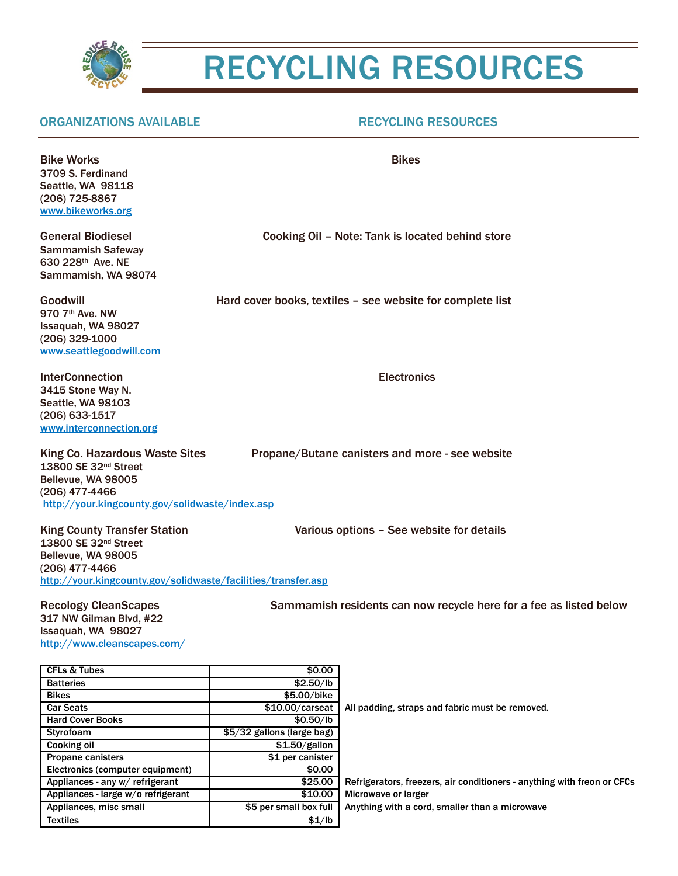

## RECYCLING RESOURCES

## ORGANIZATIONS AVAILABLE RECYCLING RESOURCES

| <b>Bike Works</b><br>3709 S. Ferdinand<br>Seattle, WA 98118<br>(206) 725-8867<br>www.bikeworks.org                                                                               | <b>Bikes</b><br>Cooking Oil - Note: Tank is located behind store   |  |
|----------------------------------------------------------------------------------------------------------------------------------------------------------------------------------|--------------------------------------------------------------------|--|
| <b>General Biodiesel</b><br><b>Sammamish Safeway</b><br>630 228th Ave. NE<br>Sammamish, WA 98074                                                                                 |                                                                    |  |
| Goodwill<br>970 7th Ave. NW<br>Issaquah, WA 98027<br>$(206)$ 329-1000<br>www.seattlegoodwill.com                                                                                 | Hard cover books, textiles - see website for complete list         |  |
| <b>InterConnection</b><br>3415 Stone Way N.<br><b>Seattle, WA 98103</b><br>(206) 633-1517<br>www.interconnection.org                                                             | <b>Electronics</b>                                                 |  |
| King Co. Hazardous Waste Sites<br>13800 SE 32nd Street<br>Bellevue, WA 98005<br>(206) 477-4466<br>http://your.kingcounty.gov/solidwaste/index.asp                                | Propane/Butane canisters and more - see website                    |  |
| <b>King County Transfer Station</b><br>13800 SE 32 <sup>nd</sup> Street<br>Bellevue, WA 98005<br>(206) 477-4466<br>http://your.kingcounty.gov/solidwaste/facilities/transfer.asp | Various options - See website for details                          |  |
| <b>Recology CleanScapes</b><br>317 NW Gilman Blvd, #22<br>Issaguah, WA 98027                                                                                                     | Sammamish residents can now recycle here for a fee as listed below |  |

Issaquah, WA 98027 <http://www.cleanscapes.com/>

| <b>CFLs &amp; Tubes</b>            | \$0.00                     |                                                                         |
|------------------------------------|----------------------------|-------------------------------------------------------------------------|
| <b>Batteries</b>                   | \$2.50/lb                  |                                                                         |
| <b>Bikes</b>                       | \$5.00/bike                |                                                                         |
| <b>Car Seats</b>                   | $$10.00/c$ arseat          | All padding, straps and fabric must be removed.                         |
| <b>Hard Cover Books</b>            | \$0.50/lb                  |                                                                         |
| Styrofoam                          | \$5/32 gallons (large bag) |                                                                         |
| Cooking oil                        | \$1.50/gallon              |                                                                         |
| <b>Propane canisters</b>           | \$1 per canister           |                                                                         |
| Electronics (computer equipment)   | \$0.00                     |                                                                         |
| Appliances - any w/ refrigerant    | \$25.00                    | Refrigerators, freezers, air conditioners - anything with freon or CFCs |
| Appliances - large w/o refrigerant | \$10.00                    | Microwave or larger                                                     |
| Appliances, misc small             | \$5 per small box full     | Anything with a cord, smaller than a microwave                          |
| <b>Textiles</b>                    | \$1/lb                     |                                                                         |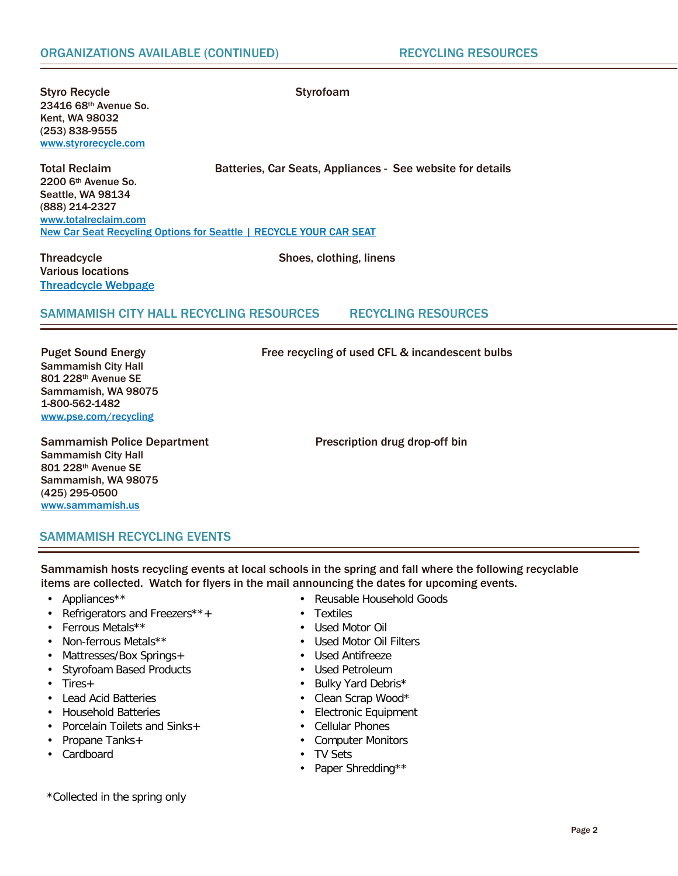Styro Recycle **Styrofoam** 23416 68th Avenue So. Kent, WA 98032 (253) 838-9555 [www.styrorecycle.com](http://www.styrorecycle.com/)

Total Reclaim Batteries, Car Seats, Appliances - See website for details

2200 6th Avenue So. Seattle, WA 98134 (888) 214-2327 [www.totalreclaim.com](http://www.totalreclaim.com/) **[New Car Seat Recycling Options for Seattle | RECYCLE YOUR CAR SEAT](http://recycleyourcarseat.org/new-car-seat-recycling-options-for-seattle/)** 

Threadcycle Shoes, clothing, linens Various locations [Threadcycle Webpage](http://your.kingcounty.gov/solidwaste/ecoconsumer/threadcycle.asp)

## SAMMAMISH CITY HALL RECYCLING RESOURCES RECYCLING RESOURCES

Puget Sound Energy Free recycling of used CFL & incandescent bulbs Sammamish City Hall 801 228th Avenue SE Sammamish, WA 98075 1-800-562-1482 [www.pse.com/recycling](http://www.pse.com/recycling)

Sammamish Police Department Prescription drug drop-off bin Sammamish City Hall 801 228th Avenue SE Sammamish, WA 98075 (425) 295-0500 [www.sammamish.us](http://www.sammamish.us/)

SAMMAMISH RECYCLING EVENTS

Sammamish hosts recycling events at local schools in the spring and fall where the following recyclable items are collected. Watch for flyers in the mail announcing the dates for upcoming events.

- Appliances\*\* Reusable Household Goods
- Refrigerators and Freezers\*\*+<br>• Ferrous Metals\*\*<br>• Used Motor Oil
- 
- Ferrous Metals\*\*<br>• Non-ferrous Metals\*\*
- Mattresses/Box Springs+ • Used Antifreeze
- Styrofoam Based Products<br>• Tires+ Constanting Products
- 
- Lead Acid Batteries Clean Scrap Wood\*
- 
- Porcelain Toilets and Sinks $+$
- Propane Tanks+<br>• Cardboard<br>• Cardboard<br>• TV Sets
- 
- 
- 
- Used Motor Oil Filters
- 
- 
- Bulky Yard Debris\*
- 
- Electronic Equipment<br>• Cellular Phones
- 
- 
- TV Sets
- Paper Shredding\*\*

\*Collected in the spring only